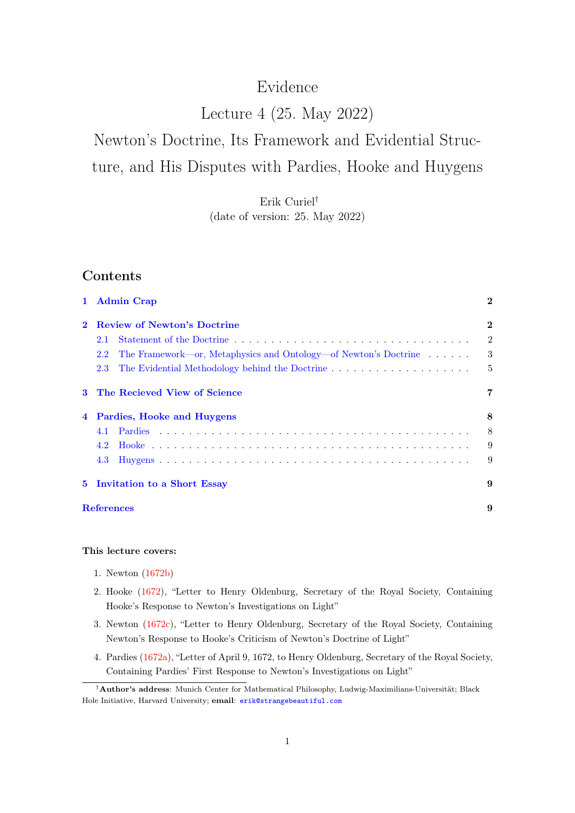## Evidence

## Lecture 4 (25. May 2022)

# Newton's Doctrine, Its Framework and Evidential Structure, and His Disputes with Pardies, Hooke and Huygens

Erik Curiel† (date of version: 25. May 2022)

## Contents

| $\mathbf{1}$   | <b>Admin Crap</b>                                                      | $\bf{2}$       |
|----------------|------------------------------------------------------------------------|----------------|
|                | <b>Review of Newton's Doctrine</b>                                     | $\bf{2}$       |
|                | 2.1                                                                    | $\overline{2}$ |
|                | The Framework—or, Metaphysics and Ontology—of Newton's Doctrine<br>2.2 | 3              |
|                | 2.3                                                                    | $\overline{5}$ |
| 3              | The Recieved View of Science                                           | 7              |
| $\overline{4}$ | Pardies, Hooke and Huygens                                             | 8              |
|                | 4.1                                                                    | 8              |
|                | 4.2                                                                    | 9              |
|                | 4.3                                                                    | 9              |
|                | 5 Invitation to a Short Essay                                          | 9              |
|                | <b>References</b>                                                      | 9              |

#### This lecture covers:

- 1. Newton [\(1672b\)](#page-9-0)
- 2. Hooke [\(1672\)](#page-9-1), "Letter to Henry Oldenburg, Secretary of the Royal Society, Containing Hooke's Response to Newton's Investigations on Light"
- 3. Newton [\(1672c\)](#page-9-2), "Letter to Henry Oldenburg, Secretary of the Royal Society, Containing Newton's Response to Hooke's Criticism of Newton's Doctrine of Light"
- 4. Pardies [\(1672a\)](#page-9-3), "Letter of April 9, 1672, to Henry Oldenburg, Secretary of the Royal Society, Containing Pardies' First Response to Newton's Investigations on Light"

<sup>†</sup>Author's address: Munich Center for Mathematical Philosophy, Ludwig-Maximilians-Universität; Black Hole Initiative, Harvard University; email: [erik@strangebeautiful.com](mailto:erik@strangebeautiful.com)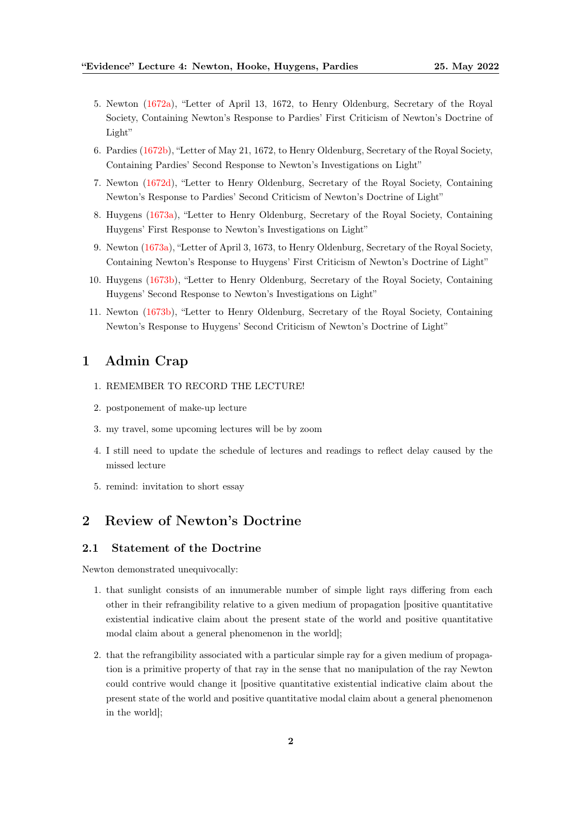- 5. Newton [\(1672a\)](#page-9-4), "Letter of April 13, 1672, to Henry Oldenburg, Secretary of the Royal Society, Containing Newton's Response to Pardies' First Criticism of Newton's Doctrine of Light"
- 6. Pardies [\(1672b\)](#page-9-5), "Letter of May 21, 1672, to Henry Oldenburg, Secretary of the Royal Society, Containing Pardies' Second Response to Newton's Investigations on Light"
- 7. Newton [\(1672d\)](#page-9-6), "Letter to Henry Oldenburg, Secretary of the Royal Society, Containing Newton's Response to Pardies' Second Criticism of Newton's Doctrine of Light"
- 8. Huygens [\(1673a\)](#page-9-7), "Letter to Henry Oldenburg, Secretary of the Royal Society, Containing Huygens' First Response to Newton's Investigations on Light"
- 9. Newton [\(1673a\)](#page-9-8), "Letter of April 3, 1673, to Henry Oldenburg, Secretary of the Royal Society, Containing Newton's Response to Huygens' First Criticism of Newton's Doctrine of Light"
- 10. Huygens [\(1673b\)](#page-9-9), "Letter to Henry Oldenburg, Secretary of the Royal Society, Containing Huygens' Second Response to Newton's Investigations on Light"
- 11. Newton [\(1673b\)](#page-9-10), "Letter to Henry Oldenburg, Secretary of the Royal Society, Containing Newton's Response to Huygens' Second Criticism of Newton's Doctrine of Light"

## <span id="page-1-0"></span>1 Admin Crap

- 1. REMEMBER TO RECORD THE LECTURE!
- 2. postponement of make-up lecture
- 3. my travel, some upcoming lectures will be by zoom
- 4. I still need to update the schedule of lectures and readings to reflect delay caused by the missed lecture
- 5. remind: invitation to short essay

## <span id="page-1-1"></span>2 Review of Newton's Doctrine

#### <span id="page-1-2"></span>2.1 Statement of the Doctrine

Newton demonstrated unequivocally:

- 1. that sunlight consists of an innumerable number of simple light rays differing from each other in their refrangibility relative to a given medium of propagation [positive quantitative existential indicative claim about the present state of the world and positive quantitative modal claim about a general phenomenon in the world];
- 2. that the refrangibility associated with a particular simple ray for a given medium of propagation is a primitive property of that ray in the sense that no manipulation of the ray Newton could contrive would change it [positive quantitative existential indicative claim about the present state of the world and positive quantitative modal claim about a general phenomenon in the world];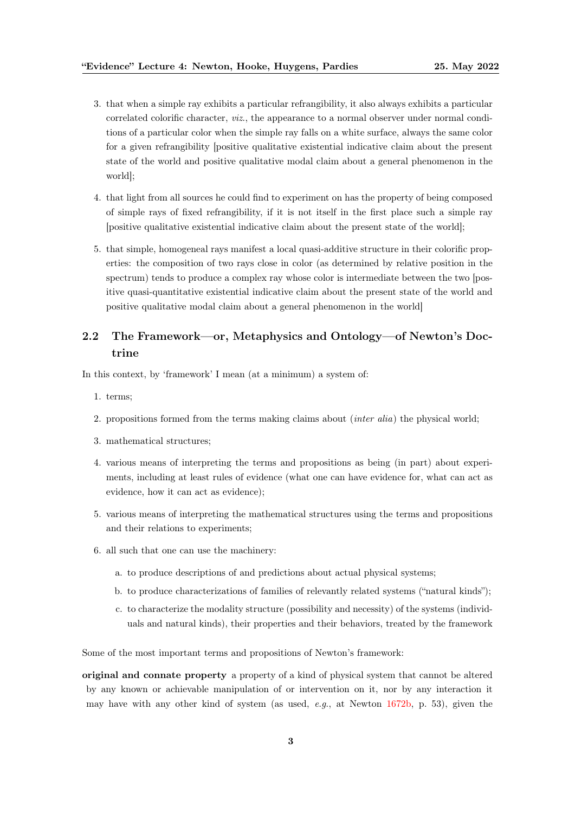- 3. that when a simple ray exhibits a particular refrangibility, it also always exhibits a particular correlated colorific character, viz., the appearance to a normal observer under normal conditions of a particular color when the simple ray falls on a white surface, always the same color for a given refrangibility [positive qualitative existential indicative claim about the present state of the world and positive qualitative modal claim about a general phenomenon in the world];
- 4. that light from all sources he could find to experiment on has the property of being composed of simple rays of fixed refrangibility, if it is not itself in the first place such a simple ray [positive qualitative existential indicative claim about the present state of the world];
- 5. that simple, homogeneal rays manifest a local quasi-additive structure in their colorific properties: the composition of two rays close in color (as determined by relative position in the spectrum) tends to produce a complex ray whose color is intermediate between the two [positive quasi-quantitative existential indicative claim about the present state of the world and positive qualitative modal claim about a general phenomenon in the world]

## <span id="page-2-0"></span>2.2 The Framework—or, Metaphysics and Ontology—of Newton's Doctrine

In this context, by 'framework' I mean (at a minimum) a system of:

- 1. terms;
- 2. propositions formed from the terms making claims about (inter alia) the physical world;
- 3. mathematical structures;
- 4. various means of interpreting the terms and propositions as being (in part) about experiments, including at least rules of evidence (what one can have evidence for, what can act as evidence, how it can act as evidence);
- 5. various means of interpreting the mathematical structures using the terms and propositions and their relations to experiments;
- 6. all such that one can use the machinery:
	- a. to produce descriptions of and predictions about actual physical systems;
	- b. to produce characterizations of families of relevantly related systems ("natural kinds");
	- c. to characterize the modality structure (possibility and necessity) of the systems (individuals and natural kinds), their properties and their behaviors, treated by the framework

Some of the most important terms and propositions of Newton's framework:

original and connate property a property of a kind of physical system that cannot be altered by any known or achievable manipulation of or intervention on it, nor by any interaction it may have with any other kind of system (as used, e.g., at Newton  $1672b$ , p. 53), given the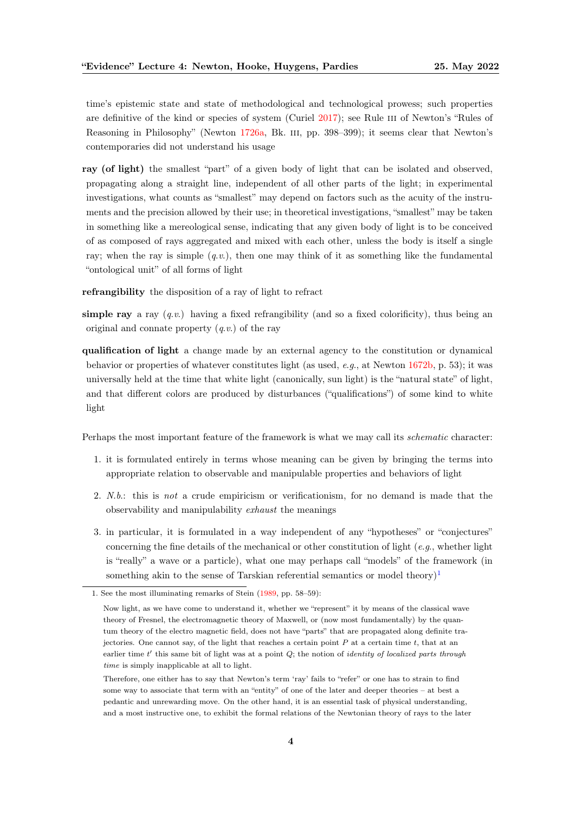time's epistemic state and state of methodological and technological prowess; such properties are definitive of the kind or species of system (Curiel [2017\)](#page-8-4); see Rule III of Newton's "Rules of Reasoning in Philosophy" (Newton [1726a,](#page-9-11) Bk. III, pp. 398–399); it seems clear that Newton's contemporaries did not understand his usage

ray (of light) the smallest "part" of a given body of light that can be isolated and observed, propagating along a straight line, independent of all other parts of the light; in experimental investigations, what counts as "smallest" may depend on factors such as the acuity of the instruments and the precision allowed by their use; in theoretical investigations, "smallest" may be taken in something like a mereological sense, indicating that any given body of light is to be conceived of as composed of rays aggregated and mixed with each other, unless the body is itself a single ray; when the ray is simple  $(q, v)$ , then one may think of it as something like the fundamental "ontological unit" of all forms of light

refrangibility the disposition of a ray of light to refract

simple ray a ray  $(a, v)$  having a fixed refrangibility (and so a fixed colorificity), thus being an original and connate property  $(q, v)$  of the ray

qualification of light a change made by an external agency to the constitution or dynamical behavior or properties of whatever constitutes light (as used, e.g., at Newton [1672b,](#page-9-0) p. 53); it was universally held at the time that white light (canonically, sun light) is the "natural state" of light, and that different colors are produced by disturbances ("qualifications") of some kind to white light

Perhaps the most important feature of the framework is what we may call its schematic character:

- 1. it is formulated entirely in terms whose meaning can be given by bringing the terms into appropriate relation to observable and manipulable properties and behaviors of light
- 2.  $N.b.$ : this is *not* a crude empiricism or verificationism, for no demand is made that the observability and manipulability exhaust the meanings
- 3. in particular, it is formulated in a way independent of any "hypotheses" or "conjectures" concerning the fine details of the mechanical or other constitution of light (e.g., whether light is "really" a wave or a particle), what one may perhaps call "models" of the framework (in something akin to the sense of Tarskian referential semantics or model theory)<sup>[1](#page-3-0)</sup>

<span id="page-3-0"></span><sup>1.</sup> See the most illuminating remarks of Stein [\(1989,](#page-10-0) pp. 58–59):

Now light, as we have come to understand it, whether we "represent" it by means of the classical wave theory of Fresnel, the electromagnetic theory of Maxwell, or (now most fundamentally) by the quantum theory of the electro magnetic field, does not have "parts" that are propagated along definite trajectories. One cannot say, of the light that reaches a certain point  $P$  at a certain time  $t$ , that at an earlier time  $t'$  this same bit of light was at a point  $Q$ ; the notion of *identity of localized parts through* time is simply inapplicable at all to light.

Therefore, one either has to say that Newton's term 'ray' fails to "refer" or one has to strain to find some way to associate that term with an "entity" of one of the later and deeper theories – at best a pedantic and unrewarding move. On the other hand, it is an essential task of physical understanding, and a most instructive one, to exhibit the formal relations of the Newtonian theory of rays to the later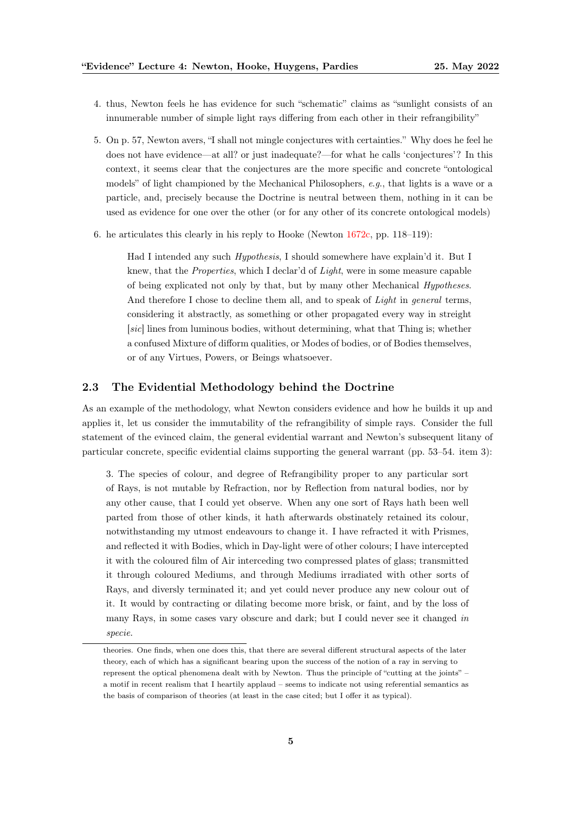- 4. thus, Newton feels he has evidence for such "schematic" claims as "sunlight consists of an innumerable number of simple light rays differing from each other in their refrangibility"
- 5. On p. 57, Newton avers, "I shall not mingle conjectures with certainties." Why does he feel he does not have evidence—at all? or just inadequate?—for what he calls 'conjectures'? In this context, it seems clear that the conjectures are the more specific and concrete "ontological models" of light championed by the Mechanical Philosophers, e.g., that lights is a wave or a particle, and, precisely because the Doctrine is neutral between them, nothing in it can be used as evidence for one over the other (or for any other of its concrete ontological models)
- 6. he articulates this clearly in his reply to Hooke (Newton [1672c,](#page-9-2) pp. 118–119):

Had I intended any such Hypothesis, I should somewhere have explain'd it. But I knew, that the Properties, which I declar'd of Light, were in some measure capable of being explicated not only by that, but by many other Mechanical Hypotheses. And therefore I chose to decline them all, and to speak of Light in general terms, considering it abstractly, as something or other propagated every way in streight [sic] lines from luminous bodies, without determining, what that Thing is; whether a confused Mixture of difform qualities, or Modes of bodies, or of Bodies themselves, or of any Virtues, Powers, or Beings whatsoever.

#### <span id="page-4-0"></span>2.3 The Evidential Methodology behind the Doctrine

As an example of the methodology, what Newton considers evidence and how he builds it up and applies it, let us consider the immutability of the refrangibility of simple rays. Consider the full statement of the evinced claim, the general evidential warrant and Newton's subsequent litany of particular concrete, specific evidential claims supporting the general warrant (pp. 53–54. item 3):

3. The species of colour, and degree of Refrangibility proper to any particular sort of Rays, is not mutable by Refraction, nor by Reflection from natural bodies, nor by any other cause, that I could yet observe. When any one sort of Rays hath been well parted from those of other kinds, it hath afterwards obstinately retained its colour, notwithstanding my utmost endeavours to change it. I have refracted it with Prismes, and reflected it with Bodies, which in Day-light were of other colours; I have intercepted it with the coloured film of Air interceding two compressed plates of glass; transmitted it through coloured Mediums, and through Mediums irradiated with other sorts of Rays, and diversly terminated it; and yet could never produce any new colour out of it. It would by contracting or dilating become more brisk, or faint, and by the loss of many Rays, in some cases vary obscure and dark; but I could never see it changed in specie.

theories. One finds, when one does this, that there are several different structural aspects of the later theory, each of which has a significant bearing upon the success of the notion of a ray in serving to represent the optical phenomena dealt with by Newton. Thus the principle of "cutting at the joints" – a motif in recent realism that I heartily applaud – seems to indicate not using referential semantics as the basis of comparison of theories (at least in the case cited; but I offer it as typical).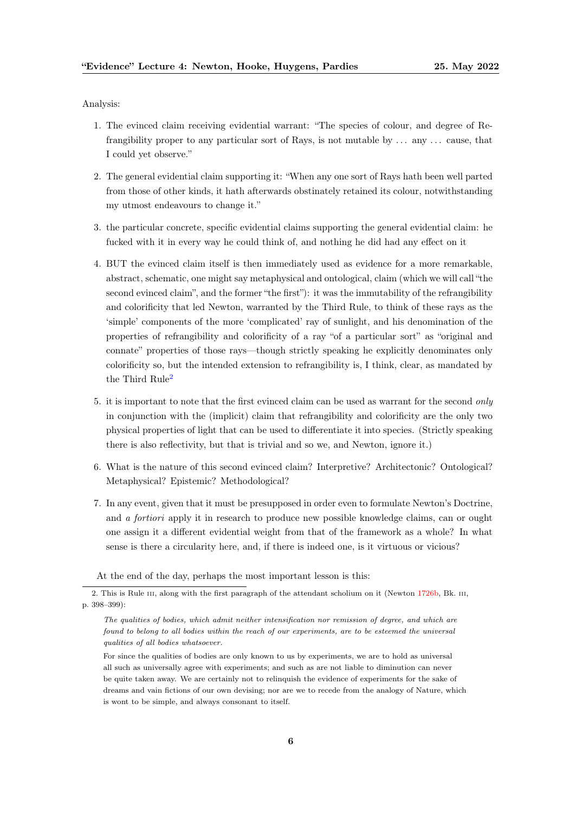Analysis:

- 1. The evinced claim receiving evidential warrant: "The species of colour, and degree of Refrangibility proper to any particular sort of Rays, is not mutable by . . . any . . . cause, that I could yet observe."
- 2. The general evidential claim supporting it: "When any one sort of Rays hath been well parted from those of other kinds, it hath afterwards obstinately retained its colour, notwithstanding my utmost endeavours to change it."
- 3. the particular concrete, specific evidential claims supporting the general evidential claim: he fucked with it in every way he could think of, and nothing he did had any effect on it
- 4. BUT the evinced claim itself is then immediately used as evidence for a more remarkable, abstract, schematic, one might say metaphysical and ontological, claim (which we will call "the second evinced claim", and the former "the first"): it was the immutability of the refrangibility and colorificity that led Newton, warranted by the Third Rule, to think of these rays as the 'simple' components of the more 'complicated' ray of sunlight, and his denomination of the properties of refrangibility and colorificity of a ray "of a particular sort" as "original and connate" properties of those rays—though strictly speaking he explicitly denominates only colorificity so, but the intended extension to refrangibility is, I think, clear, as mandated by the Third Rule<sup>[2](#page-5-0)</sup>
- 5. it is important to note that the first evinced claim can be used as warrant for the second only in conjunction with the (implicit) claim that refrangibility and colorificity are the only two physical properties of light that can be used to differentiate it into species. (Strictly speaking there is also reflectivity, but that is trivial and so we, and Newton, ignore it.)
- 6. What is the nature of this second evinced claim? Interpretive? Architectonic? Ontological? Metaphysical? Epistemic? Methodological?
- 7. In any event, given that it must be presupposed in order even to formulate Newton's Doctrine, and a fortiori apply it in research to produce new possible knowledge claims, can or ought one assign it a different evidential weight from that of the framework as a whole? In what sense is there a circularity here, and, if there is indeed one, is it virtuous or vicious?

<span id="page-5-0"></span>At the end of the day, perhaps the most important lesson is this:

<sup>2.</sup> This is Rule III, along with the first paragraph of the attendant scholium on it (Newton [1726b,](#page-9-12) Bk. III, p. 398–399):

The qualities of bodies, which admit neither intensification nor remission of degree, and which are found to belong to all bodies within the reach of our experiments, are to be esteemed the universal qualities of all bodies whatsoever.

For since the qualities of bodies are only known to us by experiments, we are to hold as universal all such as universally agree with experiments; and such as are not liable to diminution can never be quite taken away. We are certainly not to relinquish the evidence of experiments for the sake of dreams and vain fictions of our own devising; nor are we to recede from the analogy of Nature, which is wont to be simple, and always consonant to itself.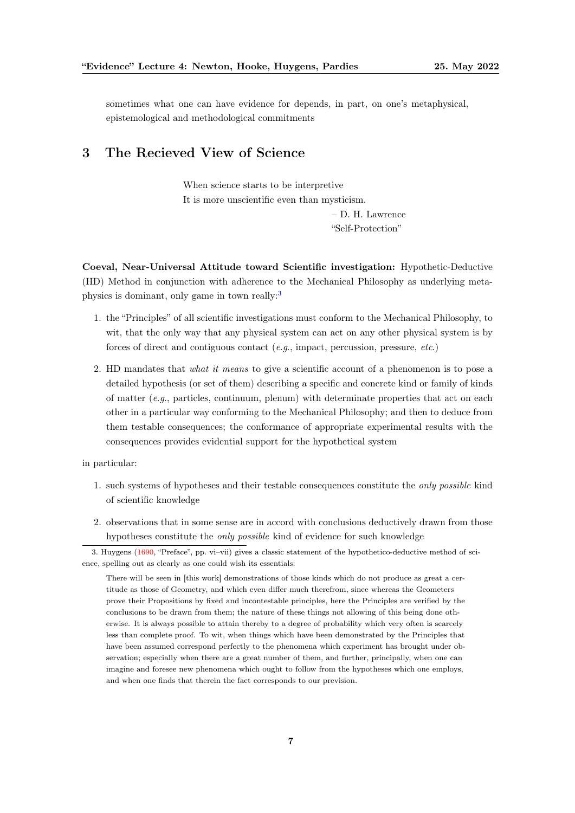sometimes what one can have evidence for depends, in part, on one's metaphysical, epistemological and methodological commitments

## <span id="page-6-0"></span>3 The Recieved View of Science

When science starts to be interpretive It is more unscientific even than mysticism. – D. H. Lawrence "Self-Protection"

Coeval, Near-Universal Attitude toward Scientific investigation: Hypothetic-Deductive (HD) Method in conjunction with adherence to the Mechanical Philosophy as underlying metaphysics is dominant, only game in town really:[3](#page-6-1)

- 1. the "Principles" of all scientific investigations must conform to the Mechanical Philosophy, to wit, that the only way that any physical system can act on any other physical system is by forces of direct and contiguous contact (e.g., impact, percussion, pressure, etc.)
- 2. HD mandates that what it means to give a scientific account of a phenomenon is to pose a detailed hypothesis (or set of them) describing a specific and concrete kind or family of kinds of matter  $(e,q)$ , particles, continuum, plenum) with determinate properties that act on each other in a particular way conforming to the Mechanical Philosophy; and then to deduce from them testable consequences; the conformance of appropriate experimental results with the consequences provides evidential support for the hypothetical system

in particular:

- 1. such systems of hypotheses and their testable consequences constitute the only possible kind of scientific knowledge
- 2. observations that in some sense are in accord with conclusions deductively drawn from those hypotheses constitute the only possible kind of evidence for such knowledge

<span id="page-6-1"></span><sup>3.</sup> Huygens [\(1690,](#page-9-13) "Preface", pp. vi–vii) gives a classic statement of the hypothetico-deductive method of science, spelling out as clearly as one could wish its essentials:

There will be seen in [this work] demonstrations of those kinds which do not produce as great a certitude as those of Geometry, and which even differ much therefrom, since whereas the Geometers prove their Propositions by fixed and incontestable principles, here the Principles are verified by the conclusions to be drawn from them; the nature of these things not allowing of this being done otherwise. It is always possible to attain thereby to a degree of probability which very often is scarcely less than complete proof. To wit, when things which have been demonstrated by the Principles that have been assumed correspond perfectly to the phenomena which experiment has brought under observation; especially when there are a great number of them, and further, principally, when one can imagine and foresee new phenomena which ought to follow from the hypotheses which one employs, and when one finds that therein the fact corresponds to our prevision.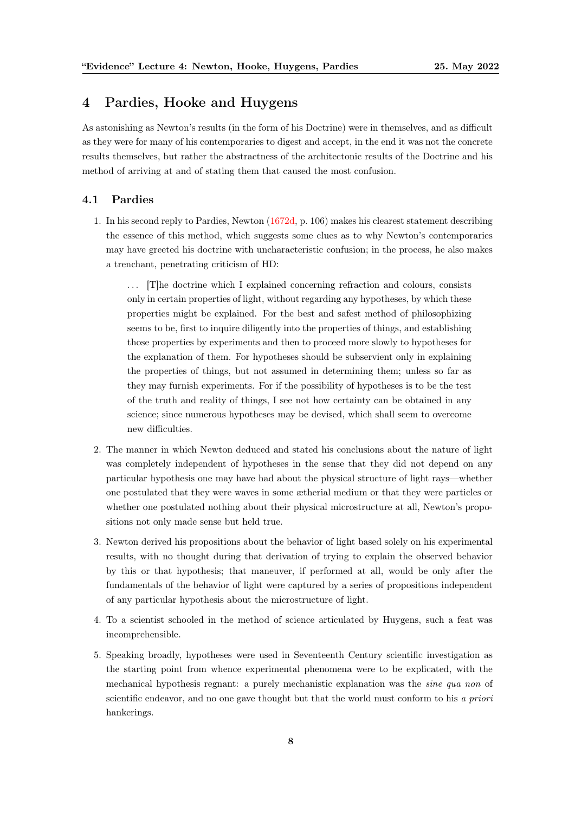## <span id="page-7-0"></span>4 Pardies, Hooke and Huygens

As astonishing as Newton's results (in the form of his Doctrine) were in themselves, and as difficult as they were for many of his contemporaries to digest and accept, in the end it was not the concrete results themselves, but rather the abstractness of the architectonic results of the Doctrine and his method of arriving at and of stating them that caused the most confusion.

#### <span id="page-7-1"></span>4.1 Pardies

1. In his second reply to Pardies, Newton [\(1672d,](#page-9-6) p. 106) makes his clearest statement describing the essence of this method, which suggests some clues as to why Newton's contemporaries may have greeted his doctrine with uncharacteristic confusion; in the process, he also makes a trenchant, penetrating criticism of HD:

. . . [T]he doctrine which I explained concerning refraction and colours, consists only in certain properties of light, without regarding any hypotheses, by which these properties might be explained. For the best and safest method of philosophizing seems to be, first to inquire diligently into the properties of things, and establishing those properties by experiments and then to proceed more slowly to hypotheses for the explanation of them. For hypotheses should be subservient only in explaining the properties of things, but not assumed in determining them; unless so far as they may furnish experiments. For if the possibility of hypotheses is to be the test of the truth and reality of things, I see not how certainty can be obtained in any science; since numerous hypotheses may be devised, which shall seem to overcome new difficulties.

- 2. The manner in which Newton deduced and stated his conclusions about the nature of light was completely independent of hypotheses in the sense that they did not depend on any particular hypothesis one may have had about the physical structure of light rays—whether one postulated that they were waves in some ætherial medium or that they were particles or whether one postulated nothing about their physical microstructure at all, Newton's propositions not only made sense but held true.
- 3. Newton derived his propositions about the behavior of light based solely on his experimental results, with no thought during that derivation of trying to explain the observed behavior by this or that hypothesis; that maneuver, if performed at all, would be only after the fundamentals of the behavior of light were captured by a series of propositions independent of any particular hypothesis about the microstructure of light.
- 4. To a scientist schooled in the method of science articulated by Huygens, such a feat was incomprehensible.
- 5. Speaking broadly, hypotheses were used in Seventeenth Century scientific investigation as the starting point from whence experimental phenomena were to be explicated, with the mechanical hypothesis regnant: a purely mechanistic explanation was the sine qua non of scientific endeavor, and no one gave thought but that the world must conform to his a priori hankerings.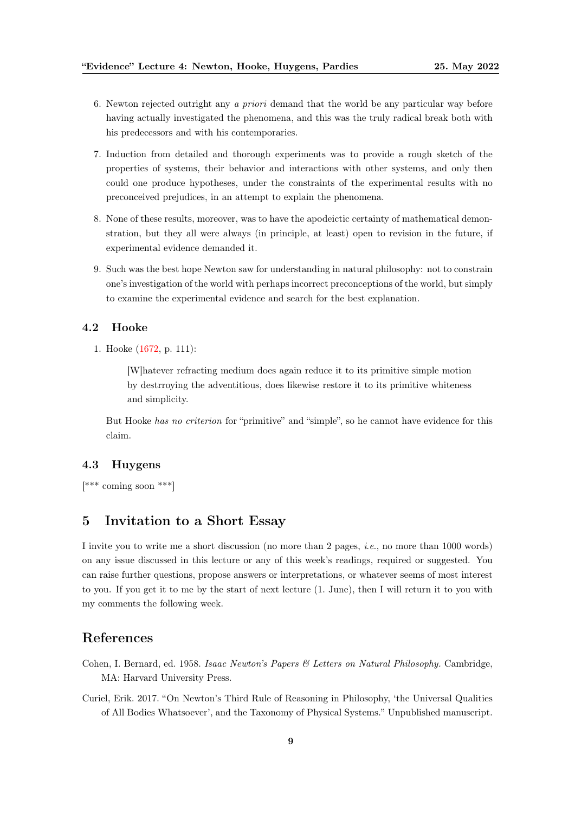- 6. Newton rejected outright any a priori demand that the world be any particular way before having actually investigated the phenomena, and this was the truly radical break both with his predecessors and with his contemporaries.
- 7. Induction from detailed and thorough experiments was to provide a rough sketch of the properties of systems, their behavior and interactions with other systems, and only then could one produce hypotheses, under the constraints of the experimental results with no preconceived prejudices, in an attempt to explain the phenomena.
- 8. None of these results, moreover, was to have the apodeictic certainty of mathematical demonstration, but they all were always (in principle, at least) open to revision in the future, if experimental evidence demanded it.
- 9. Such was the best hope Newton saw for understanding in natural philosophy: not to constrain one's investigation of the world with perhaps incorrect preconceptions of the world, but simply to examine the experimental evidence and search for the best explanation.

#### <span id="page-8-0"></span>4.2 Hooke

1. Hooke [\(1672,](#page-9-1) p. 111):

[W]hatever refracting medium does again reduce it to its primitive simple motion by destrroying the adventitious, does likewise restore it to its primitive whiteness and simplicity.

But Hooke has no criterion for "primitive" and "simple", so he cannot have evidence for this claim.

#### <span id="page-8-1"></span>4.3 Huygens

[\*\*\* coming soon \*\*\*]

## <span id="page-8-2"></span>5 Invitation to a Short Essay

I invite you to write me a short discussion (no more than 2 pages, *i.e.*, no more than 1000 words) on any issue discussed in this lecture or any of this week's readings, required or suggested. You can raise further questions, propose answers or interpretations, or whatever seems of most interest to you. If you get it to me by the start of next lecture (1. June), then I will return it to you with my comments the following week.

### <span id="page-8-3"></span>References

- <span id="page-8-5"></span>Cohen, I. Bernard, ed. 1958. Isaac Newton's Papers & Letters on Natural Philosophy. Cambridge, MA: Harvard University Press.
- <span id="page-8-4"></span>Curiel, Erik. 2017. "On Newton's Third Rule of Reasoning in Philosophy, 'the Universal Qualities of All Bodies Whatsoever', and the Taxonomy of Physical Systems." Unpublished manuscript.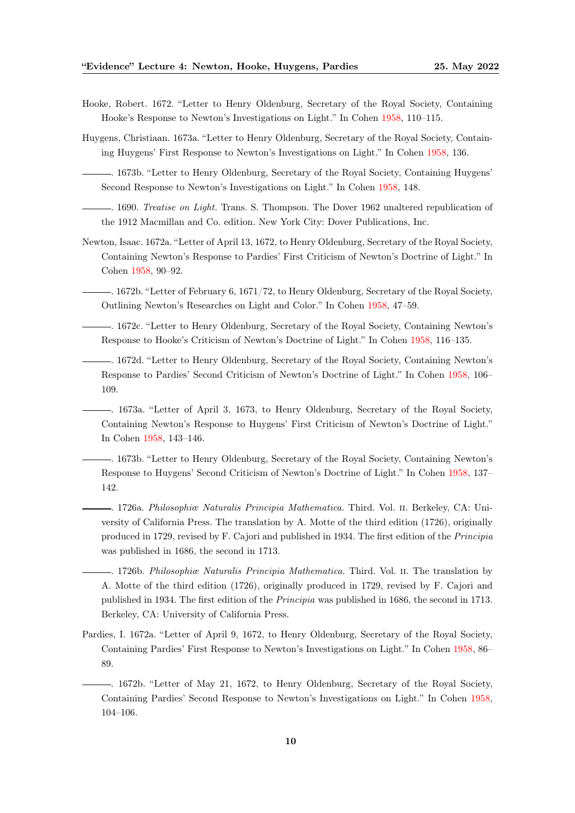- <span id="page-9-1"></span>Hooke, Robert. 1672. "Letter to Henry Oldenburg, Secretary of the Royal Society, Containing Hooke's Response to Newton's Investigations on Light." In Cohen [1958,](#page-8-5) 110–115.
- <span id="page-9-9"></span><span id="page-9-7"></span>Huygens, Christiaan. 1673a. "Letter to Henry Oldenburg, Secretary of the Royal Society, Containing Huygens' First Response to Newton's Investigations on Light." In Cohen [1958,](#page-8-5) 136.
	- . 1673b. "Letter to Henry Oldenburg, Secretary of the Royal Society, Containing Huygens' Second Response to Newton's Investigations on Light." In Cohen [1958,](#page-8-5) 148.
	- $\rightarrow$  1690. Treatise on Light. Trans. S. Thompson. The Dover 1962 unaltered republication of the 1912 Macmillan and Co. edition. New York City: Dover Publications, Inc.
- <span id="page-9-13"></span><span id="page-9-4"></span>Newton, Isaac. 1672a. "Letter of April 13, 1672, to Henry Oldenburg, Secretary of the Royal Society, Containing Newton's Response to Pardies' First Criticism of Newton's Doctrine of Light." In Cohen [1958,](#page-8-5) 90–92.
- <span id="page-9-0"></span>. 1672b. "Letter of February 6, 1671/72, to Henry Oldenburg, Secretary of the Royal Society, Outlining Newton's Researches on Light and Color." In Cohen [1958,](#page-8-5) 47–59.
- <span id="page-9-2"></span>. 1672c. "Letter to Henry Oldenburg, Secretary of the Royal Society, Containing Newton's Response to Hooke's Criticism of Newton's Doctrine of Light." In Cohen [1958,](#page-8-5) 116–135.
- <span id="page-9-6"></span>. 1672d. "Letter to Henry Oldenburg, Secretary of the Royal Society, Containing Newton's Response to Pardies' Second Criticism of Newton's Doctrine of Light." In Cohen [1958,](#page-8-5) 106– 109.
- <span id="page-9-8"></span>. 1673a. "Letter of April 3, 1673, to Henry Oldenburg, Secretary of the Royal Society, Containing Newton's Response to Huygens' First Criticism of Newton's Doctrine of Light." In Cohen [1958,](#page-8-5) 143–146.
- <span id="page-9-10"></span>. 1673b. "Letter to Henry Oldenburg, Secretary of the Royal Society, Containing Newton's Response to Huygens' Second Criticism of Newton's Doctrine of Light." In Cohen [1958,](#page-8-5) 137– 142.
- <span id="page-9-11"></span>. 1726a. Philosophiæ Naturalis Principia Mathematica. Third. Vol. ii. Berkeley, CA: University of California Press. The translation by A. Motte of the third edition (1726), originally produced in 1729, revised by F. Cajori and published in 1934. The first edition of the Principia was published in 1686, the second in 1713.
- <span id="page-9-12"></span>. 1726b. Philosophiæ Naturalis Principia Mathematica. Third. Vol. ii. The translation by A. Motte of the third edition (1726), originally produced in 1729, revised by F. Cajori and published in 1934. The first edition of the Principia was published in 1686, the second in 1713. Berkeley, CA: University of California Press.
- <span id="page-9-3"></span>Pardies, I. 1672a. "Letter of April 9, 1672, to Henry Oldenburg, Secretary of the Royal Society, Containing Pardies' First Response to Newton's Investigations on Light." In Cohen [1958,](#page-8-5) 86– 89.
- <span id="page-9-5"></span>. 1672b. "Letter of May 21, 1672, to Henry Oldenburg, Secretary of the Royal Society, Containing Pardies' Second Response to Newton's Investigations on Light." In Cohen [1958,](#page-8-5) 104–106.